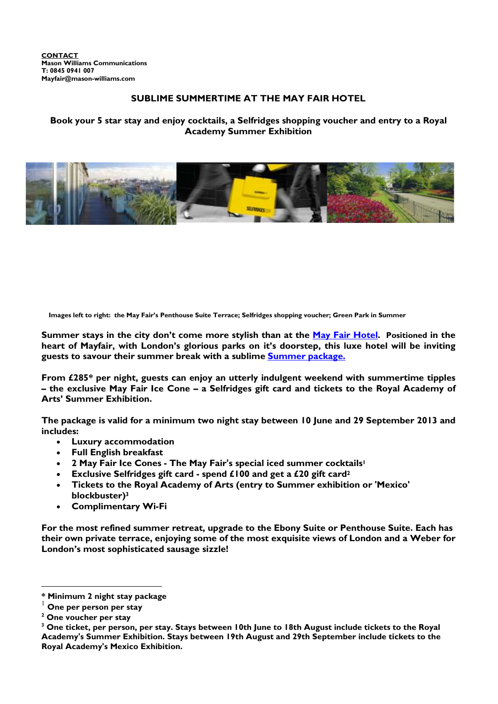# **SUBLIME SUMMERTIME AT THE MAY FAIR HOTEL**

**Book your 5 star stay and enjoy cocktails, a Selfridges shopping voucher and entry to a Royal Academy Summer Exhibition** 



**Images left to right: the May Fair's Penthouse Suite Terrace; Selfridges shopping voucher; Green Park in Summer**

**Summer stays in the city don't come more stylish than at the May Fair Hotel. Positioned in the heart of Mayfair, with London's glorious parks on it's doorstep, this luxe hotel will be inviting guests to savour their summer break with a sublime Summer package.**

**From £285\* per night, guests can enjoy an utterly indulgent weekend with summertime tipples – the exclusive May Fair Ice Cone – a Selfridges gift card and tickets to the Royal Academy of Arts' Summer Exhibition.** 

**The package is valid for a minimum two night stay between 10 June and 29 September 2013 and includes:** 

- **Luxury accommodation**
- **Full English breakfast**
- **2 May Fair Ice Cones The May Fair's special iced summer cocktails<sup>1</sup>**
- **Exclusive Selfridges gift card spend £100 and get a £20 gift card<sup>2</sup>**
- **Tickets to the Royal Academy of Arts (entry to Summer exhibition or 'Mexico' blockbuster)<sup>3</sup>**
- **Complimentary Wi-Fi**

**For the most refined summer retreat, upgrade to the Ebony Suite or Penthouse Suite. Each has their own private terrace, enjoying some of the most exquisite views of London and a Weber for London's most sophisticated sausage sizzle!** 

 $\overline{a}$ 

**<sup>\*</sup> Minimum 2 night stay package**

**One per person per stay** 

**<sup>2</sup> One voucher per stay** 

**<sup>3</sup> One ticket, per person, per stay. Stays between 10th June to 18th August include tickets to the Royal Academy's Summer Exhibition. Stays between 19th August and 29th September include tickets to the Royal Academy's Mexico Exhibition.**